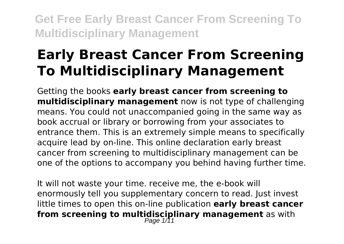# **Early Breast Cancer From Screening To Multidisciplinary Management**

Getting the books **early breast cancer from screening to multidisciplinary management** now is not type of challenging means. You could not unaccompanied going in the same way as book accrual or library or borrowing from your associates to entrance them. This is an extremely simple means to specifically acquire lead by on-line. This online declaration early breast cancer from screening to multidisciplinary management can be one of the options to accompany you behind having further time.

It will not waste your time. receive me, the e-book will enormously tell you supplementary concern to read. Just invest little times to open this on-line publication **early breast cancer from screening to multidisciplinary management** as with<br>Page 1/11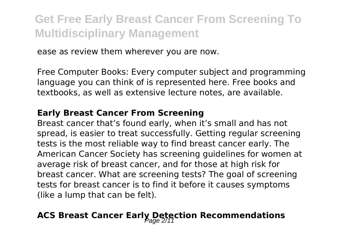ease as review them wherever you are now.

Free Computer Books: Every computer subject and programming language you can think of is represented here. Free books and textbooks, as well as extensive lecture notes, are available.

#### **Early Breast Cancer From Screening**

Breast cancer that's found early, when it's small and has not spread, is easier to treat successfully. Getting regular screening tests is the most reliable way to find breast cancer early. The American Cancer Society has screening guidelines for women at average risk of breast cancer, and for those at high risk for breast cancer. What are screening tests? The goal of screening tests for breast cancer is to find it before it causes symptoms (like a lump that can be felt).

### ACS Breast Cancer Early Detection Recommendations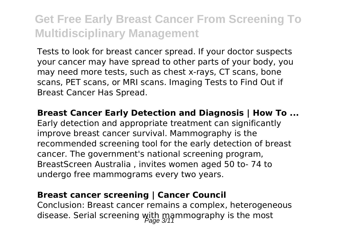Tests to look for breast cancer spread. If your doctor suspects your cancer may have spread to other parts of your body, you may need more tests, such as chest x-rays, CT scans, bone scans, PET scans, or MRI scans. Imaging Tests to Find Out if Breast Cancer Has Spread.

**Breast Cancer Early Detection and Diagnosis | How To ...** Early detection and appropriate treatment can significantly improve breast cancer survival. Mammography is the recommended screening tool for the early detection of breast cancer. The government's national screening program, BreastScreen Australia , invites women aged 50 to- 74 to undergo free mammograms every two years.

#### **Breast cancer screening | Cancer Council**

Conclusion: Breast cancer remains a complex, heterogeneous disease. Serial screening with mammography is the most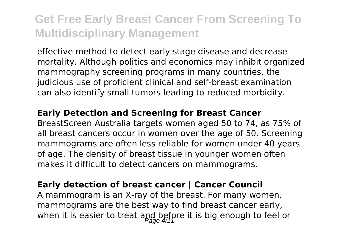effective method to detect early stage disease and decrease mortality. Although politics and economics may inhibit organized mammography screening programs in many countries, the judicious use of proficient clinical and self-breast examination can also identify small tumors leading to reduced morbidity.

#### **Early Detection and Screening for Breast Cancer**

BreastScreen Australia targets women aged 50 to 74, as 75% of all breast cancers occur in women over the age of 50. Screening mammograms are often less reliable for women under 40 years of age. The density of breast tissue in younger women often makes it difficult to detect cancers on mammograms.

#### **Early detection of breast cancer | Cancer Council**

A mammogram is an X-ray of the breast. For many women, mammograms are the best way to find breast cancer early, when it is easier to treat and before it is big enough to feel or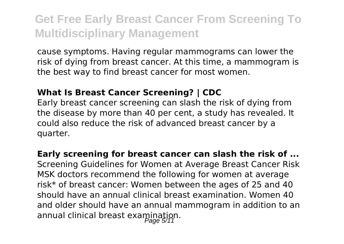cause symptoms. Having regular mammograms can lower the risk of dying from breast cancer. At this time, a mammogram is the best way to find breast cancer for most women.

#### **What Is Breast Cancer Screening? | CDC**

Early breast cancer screening can slash the risk of dying from the disease by more than 40 per cent, a study has revealed. It could also reduce the risk of advanced breast cancer by a quarter.

**Early screening for breast cancer can slash the risk of ...** Screening Guidelines for Women at Average Breast Cancer Risk MSK doctors recommend the following for women at average risk\* of breast cancer: Women between the ages of 25 and 40 should have an annual clinical breast examination. Women 40 and older should have an annual mammogram in addition to an annual clinical breast examination.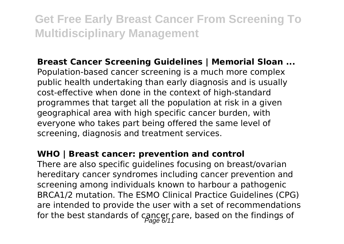### **Breast Cancer Screening Guidelines | Memorial Sloan ...**

Population-based cancer screening is a much more complex public health undertaking than early diagnosis and is usually cost-effective when done in the context of high-standard programmes that target all the population at risk in a given geographical area with high specific cancer burden, with everyone who takes part being offered the same level of screening, diagnosis and treatment services.

### **WHO | Breast cancer: prevention and control**

There are also specific guidelines focusing on breast/ovarian hereditary cancer syndromes including cancer prevention and screening among individuals known to harbour a pathogenic BRCA1/2 mutation. The ESMO Clinical Practice Guidelines (CPG) are intended to provide the user with a set of recommendations for the best standards of cancer care, based on the findings of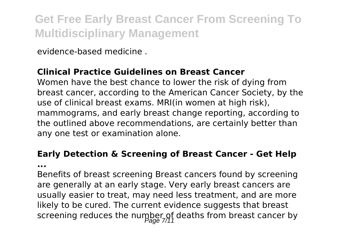evidence-based medicine .

### **Clinical Practice Guidelines on Breast Cancer**

Women have the best chance to lower the risk of dying from breast cancer, according to the American Cancer Society, by the use of clinical breast exams. MRI(in women at high risk), mammograms, and early breast change reporting, according to the outlined above recommendations, are certainly better than any one test or examination alone.

### **Early Detection & Screening of Breast Cancer - Get Help**

**...**

Benefits of breast screening Breast cancers found by screening are generally at an early stage. Very early breast cancers are usually easier to treat, may need less treatment, and are more likely to be cured. The current evidence suggests that breast screening reduces the number of deaths from breast cancer by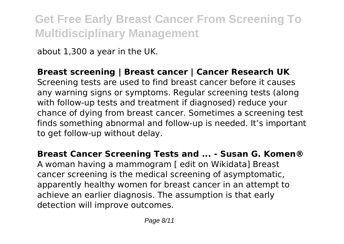about 1,300 a year in the UK.

### **Breast screening | Breast cancer | Cancer Research UK**

Screening tests are used to find breast cancer before it causes any warning signs or symptoms. Regular screening tests (along with follow-up tests and treatment if diagnosed) reduce your chance of dying from breast cancer. Sometimes a screening test finds something abnormal and follow-up is needed. It's important to get follow-up without delay.

### **Breast Cancer Screening Tests and ... - Susan G. Komen®**

A woman having a mammogram [ edit on Wikidata] Breast cancer screening is the medical screening of asymptomatic, apparently healthy women for breast cancer in an attempt to achieve an earlier diagnosis. The assumption is that early detection will improve outcomes.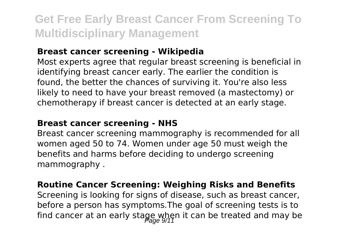### **Breast cancer screening - Wikipedia**

Most experts agree that regular breast screening is beneficial in identifying breast cancer early. The earlier the condition is found, the better the chances of surviving it. You're also less likely to need to have your breast removed (a mastectomy) or chemotherapy if breast cancer is detected at an early stage.

#### **Breast cancer screening - NHS**

Breast cancer screening mammography is recommended for all women aged 50 to 74. Women under age 50 must weigh the benefits and harms before deciding to undergo screening mammography .

### **Routine Cancer Screening: Weighing Risks and Benefits**

Screening is looking for signs of disease, such as breast cancer, before a person has symptoms.The goal of screening tests is to find cancer at an early stage when it can be treated and may be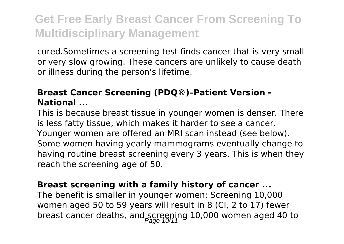cured.Sometimes a screening test finds cancer that is very small or very slow growing. These cancers are unlikely to cause death or illness during the person's lifetime.

### **Breast Cancer Screening (PDQ®)–Patient Version - National ...**

This is because breast tissue in younger women is denser. There is less fatty tissue, which makes it harder to see a cancer. Younger women are offered an MRI scan instead (see below). Some women having yearly mammograms eventually change to having routine breast screening every 3 years. This is when they reach the screening age of 50.

### **Breast screening with a family history of cancer ...**

The benefit is smaller in younger women: Screening 10,000 women aged 50 to 59 years will result in 8 (CI, 2 to 17) fewer breast cancer deaths, and screening 10,000 women aged 40 to